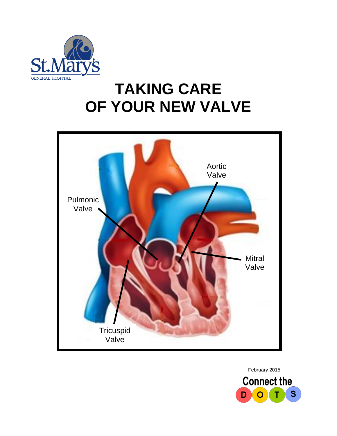

# **TAKING CARE OF YOUR NEW VALVE**



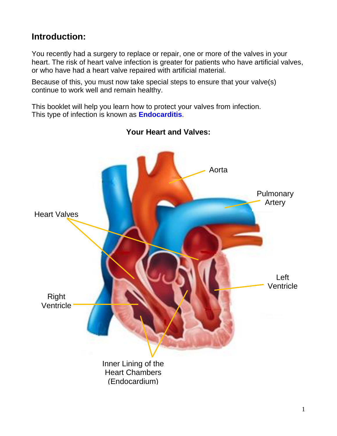## **Introduction:**

You recently had a surgery to replace or repair, one or more of the valves in your heart. The risk of heart valve infection is greater for patients who have artificial valves, or who have had a heart valve repaired with artificial material.

Because of this, you must now take special steps to ensure that your valve(s) continue to work well and remain healthy.

This booklet will help you learn how to protect your valves from infection. This type of infection is known as **Endocarditis**.



#### **Your Heart and Valves:**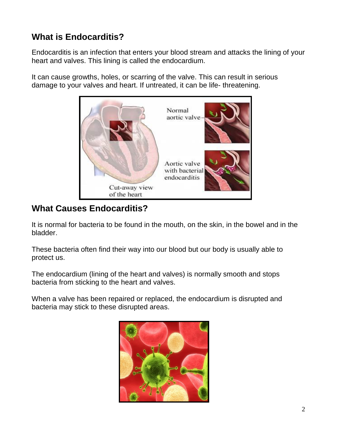# **What is Endocarditis?**

Endocarditis is an infection that enters your blood stream and attacks the lining of your heart and valves. This lining is called the endocardium.

It can cause growths, holes, or scarring of the valve. This can result in serious damage to your valves and heart. If untreated, it can be life- threatening.



# **What Causes Endocarditis?**

It is normal for bacteria to be found in the mouth, on the skin, in the bowel and in the bladder.

These bacteria often find their way into our blood but our body is usually able to protect us.

The endocardium (lining of the heart and valves) is normally smooth and stops bacteria from sticking to the heart and valves.

When a valve has been repaired or replaced, the endocardium is disrupted and bacteria may stick to these disrupted areas.

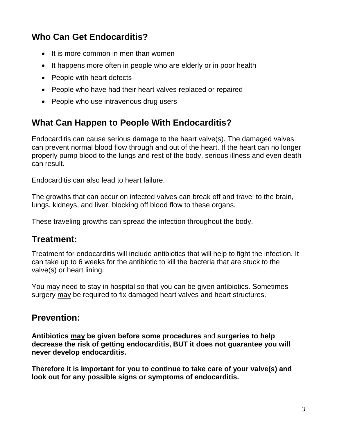# **Who Can Get Endocarditis?**

- $\bullet$  It is more common in men than women
- It happens more often in people who are elderly or in poor health
- People with heart defects
- People who have had their heart valves replaced or repaired
- People who use intravenous drug users

## **What Can Happen to People With Endocarditis?**

Endocarditis can cause serious damage to the heart valve(s). The damaged valves can prevent normal blood flow through and out of the heart. If the heart can no longer properly pump blood to the lungs and rest of the body, serious illness and even death can result.

Endocarditis can also lead to heart failure.

The growths that can occur on infected valves can break off and travel to the brain, lungs, kidneys, and liver, blocking off blood flow to these organs.

These traveling growths can spread the infection throughout the body.

## **Treatment:**

Treatment for endocarditis will include antibiotics that will help to fight the infection. It can take up to 6 weeks for the antibiotic to kill the bacteria that are stuck to the valve(s) or heart lining.

You may need to stay in hospital so that you can be given antibiotics. Sometimes surgery may be required to fix damaged heart valves and heart structures.

## **Prevention:**

**Antibiotics may be given before some procedures** and **surgeries to help decrease the risk of getting endocarditis, BUT it does not guarantee you will never develop endocarditis.**

**Therefore it is important for you to continue to take care of your valve(s) and look out for any possible signs or symptoms of endocarditis.**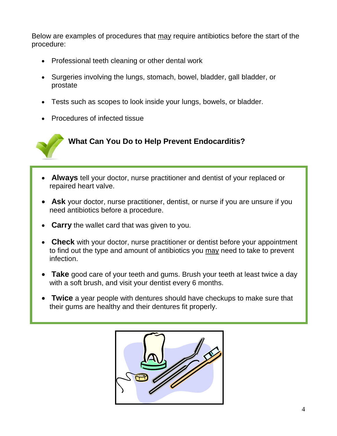Below are examples of procedures that may require antibiotics before the start of the procedure:

- Professional teeth cleaning or other dental work
- Surgeries involving the lungs, stomach, bowel, bladder, gall bladder, or prostate
- Tests such as scopes to look inside your lungs, bowels, or bladder.
- Procedures of infected tissue



- **Always** tell your doctor, nurse practitioner and dentist of your replaced or repaired heart valve.
- **Ask** your doctor, nurse practitioner, dentist, or nurse if you are unsure if you need antibiotics before a procedure.
- **Carry** the wallet card that was given to you.
- **Check** with your doctor, nurse practitioner or dentist before your appointment to find out the type and amount of antibiotics you may need to take to prevent infection.
- **Take** good care of your teeth and gums. Brush your teeth at least twice a day with a soft brush, and visit your dentist every 6 months.
- **Twice** a year people with dentures should have checkups to make sure that their gums are healthy and their dentures fit properly.

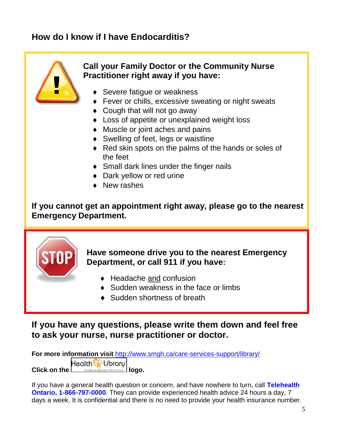# **How do I know if I have Endocarditis?**



#### **Call your Family Doctor or the Community Nurse Practitioner right away if you have:**

- ◆ Severe fatique or weakness
- ◆ Fever or chills, excessive sweating or night sweats
- ◆ Cough that will not go away
- ◆ Loss of appetite or unexplained weight loss
- Muscle or joint aches and pains
- ◆ Swelling of feet, legs or waistline
- Red skin spots on the palms of the hands or soles of the feet
- ◆ Small dark lines under the finger nails
- ◆ Dark yellow or red urine
- New rashes

**If you cannot get an appointment right away, please go to the nearest Emergency Department.**



## **Have someone drive you to the nearest Emergency Department, or call 911 if you have:**

- ◆ Headache and confusion
- ◆ Sudden weakness in the face or limbs
- ◆ Sudden shortness of breath

#### **If you have any questions, please write them down and feel free to ask your nurse, nurse practitioner or doctor.**

**For more information visit** <http://www.smgh.ca/care-services-support/library/> Health **W** Libraru **Click on the <u>Condence-Bosed Information</u> logo.** 

If you have a general health question or concern, and have nowhere to turn, call **Telehealth Ontario, 1-866-797-0000**. They can provide experienced health advice 24 hours a day, 7 days a week. It is confidential and there is no need to provide your health insurance number.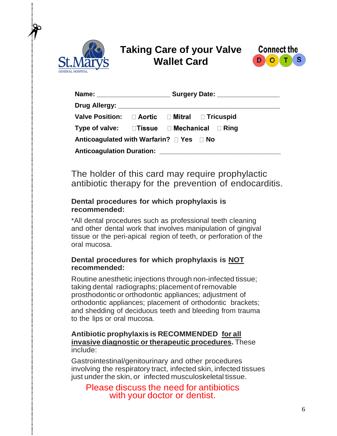

 $\vdots$ 

# **Taking Care of your Valve Wallet Card**



| Name: _________________________                                     | Surgery Date: _________________ |  |                                                                 |  |
|---------------------------------------------------------------------|---------------------------------|--|-----------------------------------------------------------------|--|
|                                                                     |                                 |  |                                                                 |  |
| Valve Position: □ Aortic □ Mitral □ Tricuspid                       |                                 |  |                                                                 |  |
| Type of valve: $\square$ Tissue $\square$ Mechanical $\square$ Ring |                                 |  |                                                                 |  |
| Anticoagulated with Warfarin? □ Yes □ No                            |                                 |  |                                                                 |  |
|                                                                     |                                 |  | Anticoagulation Duration: Network and Anticoagulation Duration: |  |

The holder of this card may require prophylactic antibiotic therapy for the prevention of endocarditis.

#### **Dental procedures for which prophylaxis is recommended:**

\*All dental procedures such as professional teeth cleaning and other dental work that involves manipulation of gingival tissue or the peri-apical region of teeth, or perforation of the oral mucosa.

#### **Dental procedures for which prophylaxis is NOT recommended:**

Routine anesthetic injections through non-infected tissue; taking dental radiographs; placement of removable prosthodontic or orthodontic appliances; adjustment of orthodontic appliances; placement of orthodontic brackets; and shedding of deciduous teeth and bleeding from trauma to the lips or oral mucosa.

#### **Antibiotic prophylaxis is RECOMMENDED for all invasive diagnostic ortherapeutic procedures.** These include:

Gastrointestinal/genitourinary and other procedures involving the respiratory tract, infected skin, infected tissues just under the skin, or infected musculoskeletal tissue.

Please discuss the need for antibiotics with your doctor or dentist.